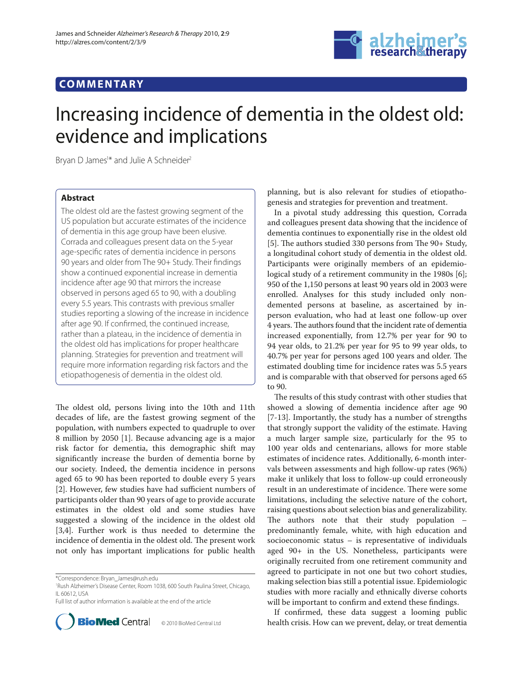## **COMMENTARY**



# Increasing incidence of dementia in the oldest old: evidence and implications

Bryan D James<sup>1\*</sup> and Julie A Schneider<sup>2</sup>

### **Abstract**

The oldest old are the fastest growing segment of the US population but accurate estimates of the incidence of dementia in this age group have been elusive. Corrada and colleagues present data on the 5-year age-specific rates of dementia incidence in persons 90 years and older from The 90+ Study. Their findings show a continued exponential increase in dementia incidence after age 90 that mirrors the increase observed in persons aged 65 to 90, with a doubling every 5.5 years. This contrasts with previous smaller studies reporting a slowing of the increase in incidence after age 90. If confirmed, the continued increase, rather than a plateau, in the incidence of dementia in the oldest old has implications for proper healthcare planning. Strategies for prevention and treatment will require more information regarding risk factors and the etiopathogenesis of dementia in the oldest old.

The oldest old, persons living into the 10th and 11th decades of life, are the fastest growing segment of the population, with numbers expected to quadruple to over 8 million by 2050 [1]. Because advancing age is a major risk factor for dementia, this demographic shift may significantly increase the burden of dementia borne by our society. Indeed, the dementia incidence in persons aged 65 to 90 has been reported to double every 5 years [2]. However, few studies have had sufficient numbers of participants older than 90 years of age to provide accurate estimates in the oldest old and some studies have suggested a slowing of the incidence in the oldest old [3,4]. Further work is thus needed to determine the incidence of dementia in the oldest old. The present work not only has important implications for public health

Full list of author information is available at the end of the article



planning, but is also relevant for studies of etiopathogenesis and strategies for prevention and treatment.

In a pivotal study addressing this question, Corrada and colleagues present data showing that the incidence of dementia continues to exponentially rise in the oldest old [5]. The authors studied 330 persons from The  $90+$  Study, a longitudinal cohort study of dementia in the oldest old. Participants were originally members of an epidemiological study of a retirement community in the 1980s [6]; 950 of the 1,150 persons at least 90 years old in 2003 were enrolled. Analyses for this study included only nondemented persons at baseline, as ascertained by inperson evaluation, who had at least one follow-up over 4 years. The authors found that the incident rate of dementia increased exponentially, from 12.7% per year for 90 to 94 year olds, to 21.2% per year for 95 to 99 year olds, to 40.7% per year for persons aged 100 years and older. The estimated doubling time for incidence rates was 5.5 years and is comparable with that observed for persons aged 65 to 90.

The results of this study contrast with other studies that showed a slowing of dementia incidence after age 90 [7-13]. Importantly, the study has a number of strengths that strongly support the validity of the estimate. Having a much larger sample size, particularly for the 95 to 100 year olds and centenarians, allows for more stable estimates of incidence rates. Additionally, 6-month intervals between assessments and high follow-up rates (96%) make it unlikely that loss to follow-up could erroneously result in an underestimate of incidence. There were some limitations, including the selective nature of the cohort, raising questions about selection bias and generalizability. The authors note that their study population  $$ predominantly female, white, with high education and socioeconomic status – is representative of individuals aged 90+ in the US. Nonetheless, participants were originally recruited from one retirement community and agreed to participate in not one but two cohort studies, making selection bias still a potential issue. Epidemiologic studies with more racially and ethnically diverse cohorts will be important to confirm and extend these findings.

If confirmed, these data suggest a looming public health crisis. How can we prevent, delay, or treat dementia

<sup>\*</sup>Correspondence: Bryan\_James@rush.edu

<sup>1</sup> Rush Alzheimer's Disease Center, Room 1038, 600 South Paulina Street, Chicago, IL 60612, USA